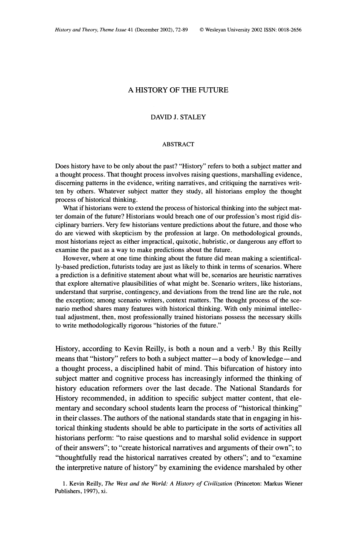# **A HISTORY OF THE FUTURE**

### **DAVID J. STALEY**

#### **ABSTRACT**

**Does history have to be only about the past? "History" refers to both a subject matter and a thought process. That thought process involves raising questions, marshalling evidence, discerning patterns in the evidence, writing narratives, and critiquing the narratives written by others. Whatever subject matter they study, all historians employ the thought process of historical thinking.** 

**What if historians were to extend the process of historical thinking into the subject matter domain of the future? Historians would breach one of our profession's most rigid disciplinary barriers. Very few historians venture predictions about the future, and those who do are viewed with skepticism by the profession at large. On methodological grounds, most historians reject as either impractical, quixotic, hubristic, or dangerous any effort to examine the past as a way to make predictions about the future.** 

**However, where at one time thinking about the future did mean making a scientifically-based prediction, futurists today are just as likely to think in terms of scenarios. Where a prediction is a definitive statement about what will be, scenarios are heuristic narratives that explore alternative plausibilities of what might be. Scenario writers, like historians, understand that surprise, contingency, and deviations from the trend line are the rule, not the exception; among scenario writers, context matters. The thought process of the scenario method shares many features with historical thinking. With only minimal intellectual adjustment, then, most professionally trained historians possess the necessary skills to write methodologically rigorous "histories of the future."** 

**History, according to Kevin Reilly, is both a noun and a verb.' By this Reilly means that "history" refers to both a subject matter-a body of knowledge-and a thought process, a disciplined habit of mind. This bifurcation of history into subject matter and cognitive process has increasingly informed the thinking of history education reformers over the last decade. The National Standards for History recommended, in addition to specific subject matter content, that elementary and secondary school students learn the process of "historical thinking" in their classes. The authors of the national standards state that in engaging in historical thinking students should be able to participate in the sorts of activities all historians perform: "to raise questions and to marshal solid evidence in support of their answers"; to "create historical narratives and arguments of their own"; to "thoughtfully read the historical narratives created by others"; and to "examine the interpretive nature of history" by examining the evidence marshaled by other** 

**1. Kevin Reilly, The West and the World: A History of Civilization (Princeton: Markus Wiener Publishers, 1997), xi.**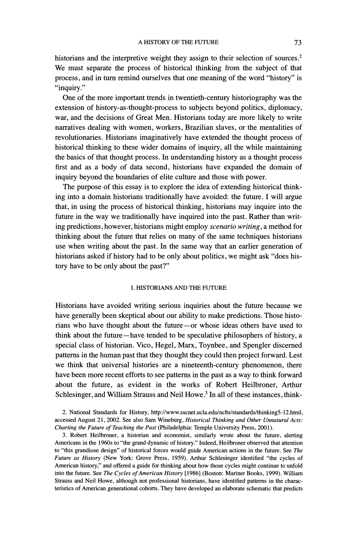**historians and the interpretive weight they assign to their selection of sources.2 We must separate the process of historical thinking from the subject of that process, and in turn remind ourselves that one meaning of the word "history" is "inquiry."** 

**One of the more important trends in twentieth-century historiography was the extension of history-as-thought-process to subjects beyond politics, diplomacy, war, and the decisions of Great Men. Historians today are more likely to write narratives dealing with women, workers, Brazilian slaves, or the mentalities of revolutionaries. Historians imaginatively have extended the thought process of historical thinking to these wider domains of inquiry, all the while maintaining the basics of that thought process. In understanding history as a thought process first and as a body of data second, historians have expanded the domain of inquiry beyond the boundaries of elite culture and those with power.** 

**The purpose of this essay is to explore the idea of extending historical thinking into a domain historians traditionally have avoided: the future. I will argue that, in using the process of historical thinking, historians may inquire into the future in the way we traditionally have inquired into the past. Rather than writing predictions, however, historians might employ scenario writing, a method for thinking about the future that relies on many of the same techniques historians use when writing about the past. In the same way that an earlier generation of historians asked if history had to be only about politics, we might ask "does history have to be only about the past?"** 

# **I. HISTORIANS AND THE FUTURE**

**Historians have avoided writing serious inquiries about the future because we have generally been skeptical about our ability to make predictions. Those historians who have thought about the future-or whose ideas others have used to think about the future-have tended to be speculative philosophers of history, a special class of historian. Vico, Hegel, Marx, Toynbee, and Spengler discerned patterns in the human past that they thought they could then project forward. Lest we think that universal histories are a nineteenth-century phenomenon, there have been more recent efforts to see patterns in the past as a way to think forward about the future, as evident in the works of Robert Heilbroner, Arthur**  Schlesinger, and William Strauss and Neil Howe.<sup>3</sup> In all of these instances, think-

**2. National Standards for History, http://www.sscnet.ucla.edu/nchs/standards/thinking5-12.html, accessed August 21, 2002. See also Sam Wineburg, Historical Thinking and Other Unnatural Acts: Charting the Future of Teaching the Past (Philadelphia: Temple University Press, 2001).** 

**3. Robert Heilbroner, a historian and economist, similarly wrote about the future, alerting Americans in the 1960s to "the grand dynamic of history." Indeed, Heilbroner observed that attention to "this grandiose design" of historical forces would guide American actions in the future. See The Future as History (New York: Grove Press, 1959). Arthur Schlesinger identified "the cycles of American history," and offered a guide for thinking about how those cycles might continue to unfold into the future. See The Cycles of American History [1986] (Boston: Mariner Books, 1999). William Strauss and Neil Howe, although not professional historians, have identified patterns in the characteristics of American generational cohorts. They have developed an elaborate schematic that predicts**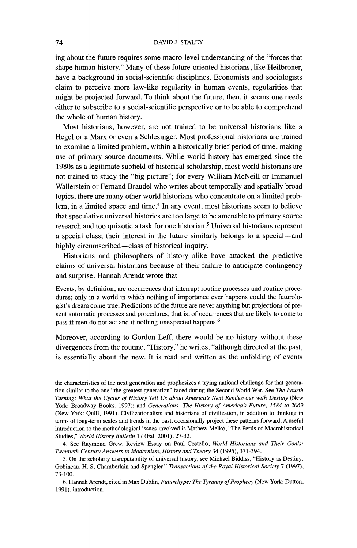**ing about the future requires some macro-level understanding of the "forces that shape human history." Many of these future-oriented historians, like Heilbroner, have a background in social-scientific disciplines. Economists and sociologists claim to perceive more law-like regularity in human events, regularities that might be projected forward. To think about the future, then, it seems one needs either to subscribe to a social-scientific perspective or to be able to comprehend the whole of human history.** 

**Most historians, however, are not trained to be universal historians like a Hegel or a Marx or even a Schlesinger. Most professional historians are trained to examine a limited problem, within a historically brief period of time, making use of primary source documents. While world history has emerged since the 1980s as a legitimate subfield of historical scholarship, most world historians are not trained to study the "big picture"; for every William McNeill or Immanuel Wallerstein or Ferand Braudel who writes about temporally and spatially broad topics, there are many other world historians who concentrate on a limited problem, in a limited space and time.4 In any event, most historians seem to believe that speculative universal histories are too large to be amenable to primary source research and too quixotic a task for one historian.5 Universal historians represent a special class; their interest in the future similarly belongs to a special-and highly circumscribed-class of historical inquiry.** 

**Historians and philosophers of history alike have attacked the predictive claims of universal historians because of their failure to anticipate contingency and surprise. Hannah Arendt wrote that** 

**Events, by definition, are occurrences that interrupt routine processes and routine procedures; only in a world in which nothing of importance ever happens could the futurologist's dream come true. Predictions of the future are never anything but projections of present automatic processes and procedures, that is, of occurrences that are likely to come to pass if men do not act and if nothing unexpected happens.6** 

**Moreover, according to Gordon Leff, there would be no history without these divergences from the routine. "History," he writes, "although directed at the past, is essentially about the new. It is read and written as the unfolding of events** 

**the characteristics of the next generation and prophesizes a trying national challenge for that generation similar to the one "the greatest generation" faced during the Second World War. See The Fourth Turning: What the Cycles of History Tell Us about America's Next Rendezvous with Destiny (New York: Broadway Books, 1997); and Generations: The History of America's Future, 1584 to 2069 (New York: Quill, 1991). Civilizationalists and historians of civilization, in addition to thinking in terms of long-term scales and trends in the past, occasionally project these patterns forward. A useful introduction to the methodological issues involved is Mathew Melko, "The Perils of Macrohistorical Studies," World History Bulletin 17 (Fall 2001), 27-32.** 

**<sup>4.</sup> See Raymond Grew, Review Essay on Paul Costello, World Historians and Their Goals: Twentieth-Century Answers to Modernism, History and Theory 34 (1995), 371-394.** 

**<sup>5.</sup> On the scholarly disreputability of universal history, see Michael Biddiss, "History as Destiny: Gobineau, H. S. Chamberlain and Spengler," Transactions of the Royal Historical Society 7 (1997), 73-100.** 

**<sup>6.</sup> Hannah Arendt, cited in Max Dublin, Futurehype: The Tyranny of Prophecy (New York: Dutton, 1991), introduction.**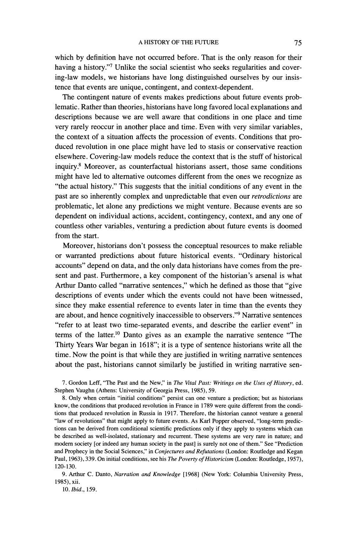**which by definition have not occurred before. That is the only reason for their having a history."7 Unlike the social scientist who seeks regularities and covering-law models, we historians have long distinguished ourselves by our insistence that events are unique, contingent, and context-dependent.** 

**The contingent nature of events makes predictions about future events problematic. Rather than theories, historians have long favored local explanations and descriptions because we are well aware that conditions in one place and time very rarely reoccur in another place and time. Even with very similar variables, the context of a situation affects the procession of events. Conditions that produced revolution in one place might have led to stasis or conservative reaction elsewhere. Covering-law models reduce the context that is the stuff of historical inquiry.8 Moreover, as counterfactual historians assert, those same conditions might have led to alternative outcomes different from the ones we recognize as "the actual history." This suggests that the initial conditions of any event in the past are so inherently complex and unpredictable that even our retrodictions are problematic, let alone any predictions we might venture. Because events are so dependent on individual actions, accident, contingency, context, and any one of countless other variables, venturing a prediction about future events is doomed from the start.** 

**Moreover, historians don't possess the conceptual resources to make reliable or warranted predictions about future historical events. "Ordinary historical accounts" depend on data, and the only data historians have comes from the present and past. Furthermore, a key component of the historian's arsenal is what Arthur Danto called "narrative sentences," which he defined as those that "give descriptions of events under which the events could not have been witnessed, since they make essential reference to events later in time than the events they are about, and hence cognitively inaccessible to observers."9 Narrative sentences "refer to at least two time-separated events, and describe the earlier event" in terms of the latter.10 Danto gives as an example the narrative sentence "The Thirty Years War began in 1618"; it is a type of sentence historians write all the time. Now the point is that while they are justified in writing narrative sentences about the past, historians cannot similarly be justified in writing narrative sen-**

**7. Gordon Leff, "The Past and the New," in The Vital Past: Writings on the Uses of History, ed. Stephen Vaughn (Athens: University of Georgia Press, 1985), 59.** 

**8. Only when certain "initial conditions" persist can one venture a prediction; but as historians know, the conditions that produced revolution in France in 1789 were quite different from the conditions that produced revolution in Russia in 1917. Therefore, the historian cannot venture a general "law of revolutions" that might apply to future events. As Karl Popper observed, "long-term predictions can be derived from conditional scientific predictions only if they apply to systems which can be described as well-isolated, stationary and recurrent. These systems are very rare in nature; and modem society [or indeed any human society in the past] is surely not one of them." See "Prediction and Prophecy in the Social Sciences," in Conjectures and Refutations (London: Routledge and Kegan Paul, 1963), 339. On initial conditions, see his The Poverty of Historicism (London: Routledge, 1957), 120-130.** 

**9. Arthur C. Danto, Narration and Knowledge [1968] (New York: Columbia University Press, 1985), xii.** 

**10. Ibid., 159.**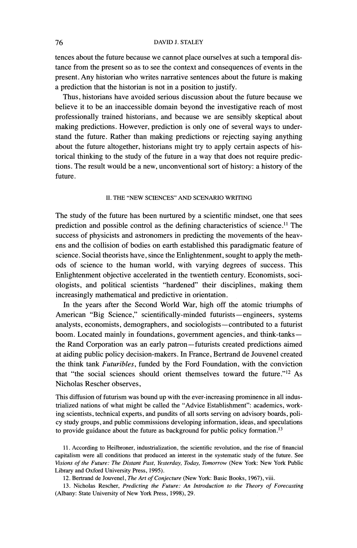**tences about the future because we cannot place ourselves at such a temporal distance from the present so as to see the context and consequences of events in the present. Any historian who writes narrative sentences about the future is making a prediction that the historian is not in a position to justify.** 

**Thus, historians have avoided serious discussion about the future because we believe it to be an inaccessible domain beyond the investigative reach of most professionally trained historians, and because we are sensibly skeptical about making predictions. However, prediction is only one of several ways to understand the future. Rather than making predictions or rejecting saying anything about the future altogether, historians might try to apply certain aspects of historical thinking to the study of the future in a way that does not require predictions. The result would be a new, unconventional sort of history: a history of the future.** 

### **II. THE "NEW SCIENCES" AND SCENARIO WRITING**

**The study of the future has been nurtured by a scientific mindset, one that sees prediction and possible control as the defining characteristics of science.'l The success of physicists and astronomers in predicting the movements of the heavens and the collision of bodies on earth established this paradigmatic feature of science. Social theorists have, since the Enlightenment, sought to apply the methods of science to the human world, with varying degrees of success. This Enlightenment objective accelerated in the twentieth century. Economists, sociologists, and political scientists "hardened" their disciplines, making them increasingly mathematical and predictive in orientation.** 

**In the years after the Second World War, high off the atomic triumphs of American "Big Science," scientifically-minded futurists-engineers, systems analysts, economists, demographers, and sociologists-contributed to a futurist boom. Located mainly in foundations, government agencies, and think-tanksthe Rand Corporation was an early patron-futurists created predictions aimed at aiding public policy decision-makers. In France, Bertrand de Jouvenel created the think tank Futuribles, funded by the Ford Foundation, with the conviction that "the social sciences should orient themselves toward the future."'2 As Nicholas Rescher observes,** 

**This diffusion of futurism was bound up with the ever-increasing prominence in all industrialized nations of what might be called the "Advice Establishment": academics, working scientists, technical experts, and pundits of all sorts serving on advisory boards, policy study groups, and public commissions developing information, ideas, and speculations to provide guidance about the future as background for public policy formation.'3** 

**11. According to Heilbroner, industrialization, the scientific revolution, and the rise of financial capitalism were all conditions that produced an interest in the systematic study of the future. See Visions of the Future: The Distant Past, Yesterday, Today, Tomorrow (New York: New York Public Library and Oxford University Press, 1995).** 

12. Bertrand de Jouvenel, *The Art of Conjecture* (New York: Basic Books, 1967), viii.

**13. Nicholas Rescher, Predicting the Future: An Introduction to the Theory of Forecasting (Albany: State University of New York Press, 1998), 29.**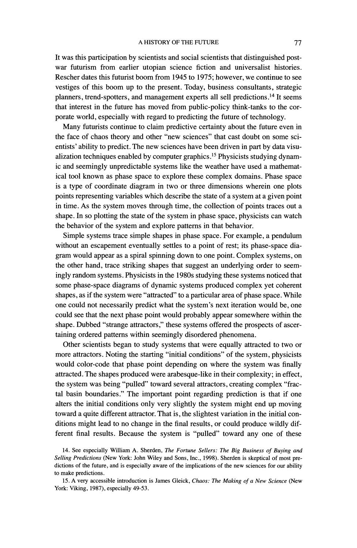**It was this participation by scientists and social scientists that distinguished postwar futurism from earlier utopian science fiction and universalist histories. Rescher dates this futurist boom from 1945 to 1975; however, we continue to see vestiges of this boom up to the present. Today, business consultants, strategic planners, trend-spotters, and management experts all sell predictions.l4 It seems that interest in the future has moved from public-policy think-tanks to the corporate world, especially with regard to predicting the future of technology.** 

**Many futurists continue to claim predictive certainty about the future even in the face of chaos theory and other "new sciences" that cast doubt on some scientists' ability to predict. The new sciences have been driven in part by data visualization techniques enabled by computer graphics.'5 Physicists studying dynamic and seemingly unpredictable systems like the weather have used a mathematical tool known as phase space to explore these complex domains. Phase space is a type of coordinate diagram in two or three dimensions wherein one plots points representing variables which describe the state of a system at a given point in time. As the system moves through time, the collection of points traces out a shape. In so plotting the state of the system in phase space, physicists can watch the behavior of the system and explore patterns in that behavior.** 

**Simple systems trace simple shapes in phase space. For example, a pendulum without an escapement eventually settles to a point of rest; its phase-space diagram would appear as a spiral spinning down to one point. Complex systems, on the other hand, trace striking shapes that suggest an underlying order to seemingly random systems. Physicists in the 1980s studying these systems noticed that some phase-space diagrams of dynamic systems produced complex yet coherent shapes, as if the system were "attracted" to a particular area of phase space. While one could not necessarily predict what the system's next iteration would be, one could see that the next phase point would probably appear somewhere within the shape. Dubbed "strange attractors," these systems offered the prospects of ascertaining ordered patterns within seemingly disordered phenomena.** 

**Other scientists began to study systems that were equally attracted to two or more attractors. Noting the starting "initial conditions" of the system, physicists would color-code that phase point depending on where the system was finally attracted. The shapes produced were arabesque-like in their complexity; in effect, the system was being "pulled" toward several attractors, creating complex "fractal basin boundaries." The important point regarding prediction is that if one alters the initial conditions only very slightly the system might end up moving toward a quite different attractor. That is, the slightest variation in the initial conditions might lead to no change in the final results, or could produce wildly different final results. Because the system is "pulled" toward any one of these** 

**14. See especially William A. Sherden, The Fortune Sellers: The Big Business of Buying and Selling Predictions (New York: John Wiley and Sons, Inc., 1998). Sherden is skeptical of most predictions of the future, and is especially aware of the implications of the new sciences for our ability to make predictions.** 

**<sup>15.</sup> A very accessible introduction is James Gleick, Chaos: The Making of a New Science (New York: Viking, 1987), especially 49-53.**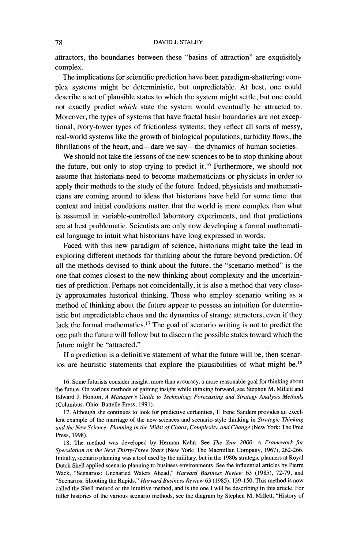**attractors, the boundaries between these "basins of attraction" are exquisitely complex.** 

**The implications for scientific prediction have been paradigm-shattering: complex systems might be deterministic, but unpredictable. At best, one could describe a set of plausible states to which the system might settle, but one could not exactly predict which state the system would eventually be attracted to. Moreover, the types of systems that have fractal basin boundaries are not exceptional, ivory-tower types of frictionless systems; they reflect all sorts of messy,**  real-world systems like the growth of biological populations, turbidity flows, the fibrillations of the heart, and—dare we say—the dynamics of human societies.

**We should not take the lessons of the new sciences to be to stop thinking about the future, but only to stop trying to predict it.16 Furthermore, we should not assume that historians need to become mathematicians or physicists in order to apply their methods to the study of the future. Indeed, physicists and mathematicians are coming around to ideas that historians have held for some time: that context and initial conditions matter, that the world is more complex than what is assumed in variable-controlled laboratory experiments, and that predictions are at best problematic. Scientists are only now developing a formal mathematical language to intuit what historians have long expressed in words.** 

**Faced with this new paradigm of science, historians might take the lead in exploring different methods for thinking about the future beyond prediction. Of all the methods devised to think about the future, the "scenario method" is the one that comes closest to the new thinking about complexity and the uncertainties of prediction. Perhaps not coincidentally, it is also a method that very closely approximates historical thinking. Those who employ scenario writing as a method of thinking about the future appear to possess an intuition for deterministic but unpredictable chaos and the dynamics of strange attractors, even if they**  lack the formal mathematics.<sup>17</sup> The goal of scenario writing is not to predict the **one path the future will follow but to discern the possible states toward which the future might be "attracted."** 

**If a prediction is a definitive statement of what the future will be, then scenarios are heuristic statements that explore the plausibilities of what might be.18** 

**16. Some futurists consider insight, more than accuracy, a more reasonable goal for thinking about the future. On various methods of gaining insight while thinking forward, see Stephen M. Millett and Edward J. Honton, A Manager's Guide to Technology Forecasting and Strategy Analysis Methods (Columbus, Ohio: Battelle Press, 1991).** 

**17. Although she continues to look for predictive certainties, T. Irene Sanders provides an excellent example of the marriage of the new sciences and scenario-style thinking in Strategic Thinking and the New Science: Planning in the Midst of Chaos, Complexity, and Change (New York: The Free Press, 1998).** 

**18. The method was developed by Herman Kahn. See The Year 2000: A Framework for Speculation on the Next Thirty-Three Years (New York: The Macmillan Company, 1967), 262-266. Initially, scenario planning was a tool used by the military, but in the 1980s strategic planners at Royal Dutch Shell applied scenario planning to business environments. See the influential articles by Pierre Wack, "Scenarios: Uncharted Waters Ahead," Harvard Business Review 63 (1985), 72-79, and "Scenarios: Shooting the Rapids," Harvard Business Review 63 (1985), 139-150. This method is now called the Shell method or the intuitive method, and is the one I will be describing in this article. For fuller histories of the various scenario methods, see the diagram by Stephen M. Millett, "History of**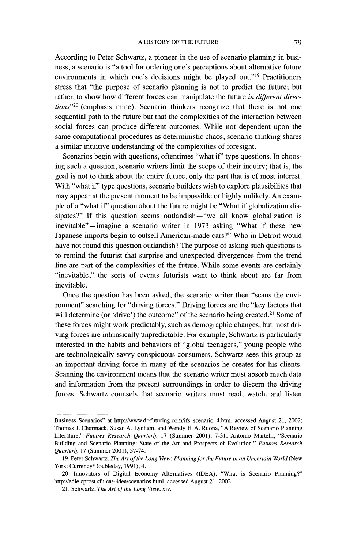**According to Peter Schwartz, a pioneer in the use of scenario planning in business, a scenario is "a tool for ordering one's perceptions about alternative future environments in which one's decisions might be played out."19 Practitioners stress that "the purpose of scenario planning is not to predict the future; but rather, to show how different forces can manipulate the future in different directions"20 (emphasis mine). Scenario thinkers recognize that there is not one sequential path to the future but that the complexities of the interaction between social forces can produce different outcomes. While not dependent upon the same computational procedures as deterministic chaos, scenario thinking shares a similar intuitive understanding of the complexities of foresight.** 

**Scenarios begin with questions, oftentimes "what if' type questions. In choosing such a question, scenario writers limit the scope of their inquiry; that is, the goal is not to think about the entire future, only the part that is of most interest. With "what if' type questions, scenario builders wish to explore plausibilites that may appear at the present moment to be impossible or highly unlikely. An example of a "what if' question about the future might be "What if globalization dis**sipates?" If this question seems outlandish-"we all know globalization is inevitable"—imagine a scenario writer in 1973 asking "What if these new **Japanese imports begin to outsell American-made cars?" Who in Detroit would have not found this question outlandish? The purpose of asking such questions is to remind the futurist that surprise and unexpected divergences from the trend line are part of the complexities of the future. While some events are certainly "inevitable," the sorts of events futurists want to think about are far from inevitable.** 

**Once the question has been asked, the scenario writer then "scans the environment" searching for "driving forces." Driving forces are the "key factors that**  will determine (or 'drive') the outcome" of the scenario being created.<sup>21</sup> Some of **these forces might work predictably, such as demographic changes, but most driving forces are intrinsically unpredictable. For example, Schwartz is particularly interested in the habits and behaviors of "global teenagers," young people who are technologically savvy conspicuous consumers. Schwartz sees this group as an important driving force in many of the scenarios he creates for his clients. Scanning the environment means that the scenario writer must absorb much data and information from the present surroundings in order to discern the driving forces. Schwartz counsels that scenario writers must read, watch, and listen** 

**Business Scenarios" at http://www.dr-futuring.com/ifs\_scenario\_4.htm, accessed August 21, 2002; Thomas J. Chermack, Susan A. Lynham, and Wendy E. A. Ruona, "A Review of Scenario Planning Literature," Futures Research Quarterly 17 (Summer 2001), 7-31; Antonio Martelli, "Scenario Building and Scenario Planning: State of the Art and Prospects of Evolution," Futures Research Quarterly 17 (Summer 2001), 57-74.** 

**<sup>19.</sup> Peter Schwartz, The Art of the Long View: Planningfor the Future in an Uncertain World (New York: Currency/Doubleday, 1991), 4.** 

**<sup>20.</sup> Innovators of Digital Economy Alternatives (IDEA), "What is Scenario Planning?" http://edie.cprost.sfu.ca/~idea/scenarios.html, accessed August 21, 2002.** 

**<sup>21.</sup> Schwartz, The Art of the Long View, xiv.**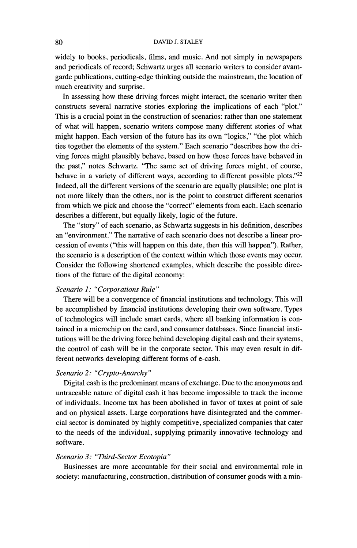**widely to books, periodicals, films, and music. And not simply in newspapers and periodicals of record; Schwartz urges all scenario writers to consider avantgarde publications, cutting-edge thinking outside the mainstream, the location of much creativity and surprise.** 

**In assessing how these driving forces might interact, the scenario writer then constructs several narrative stories exploring the implications of each "plot." This is a crucial point in the construction of scenarios: rather than one statement of what will happen, scenario writers compose many different stories of what might happen. Each version of the future has its own "logics," "the plot which ties together the elements of the system." Each scenario "describes how the driving forces might plausibly behave, based on how those forces have behaved in the past," notes Schwartz. "The same set of driving forces might, of course, behave in a variety of different ways, according to different possible plots."22 Indeed, all the different versions of the scenario are equally plausible; one plot is not more likely than the others, nor is the point to construct different scenarios from which we pick and choose the "correct" elements from each. Each scenario describes a different, but equally likely, logic of the future.** 

**The "story" of each scenario, as Schwartz suggests in his definition, describes an "environment." The narrative of each scenario does not describe a linear procession of events ("this will happen on this date, then this will happen"). Rather, the scenario is a description of the context within which those events may occur. Consider the following shortened examples, which describe the possible directions of the future of the digital economy:** 

# **Scenario 1: "Corporations Rule"**

**There will be a convergence of financial institutions and technology. This will be accomplished by financial institutions developing their own software. Types of technologies will include smart cards, where all banking information is contained in a microchip on the card, and consumer databases. Since financial institutions will be the driving force behind developing digital cash and their systems, the control of cash will be in the corporate sector. This may even result in different networks developing different forms of e-cash.** 

# **Scenario 2: "Crypto-Anarchy"**

**Digital cash is the predominant means of exchange. Due to the anonymous and untraceable nature of digital cash it has become impossible to track the income of individuals. Income tax has been abolished in favor of taxes at point of sale and on physical assets. Large corporations have disintegrated and the commercial sector is dominated by highly competitive, specialized companies that cater to the needs of the individual, supplying primarily innovative technology and software.** 

## **Scenario 3: "Third-Sector Ecotopia"**

**Businesses are more accountable for their social and environmental role in society: manufacturing, construction, distribution of consumer goods with a min-**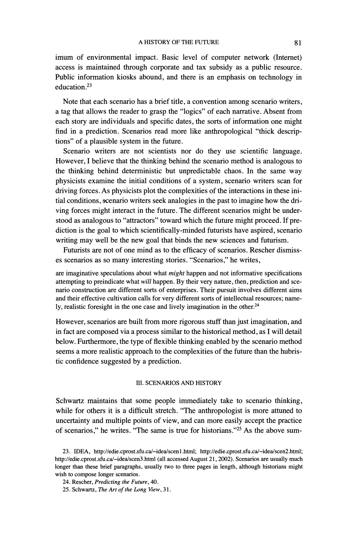**imum of environmental impact. Basic level of computer network (Internet) access is maintained through corporate and tax subsidy as a public resource. Public information kiosks abound, and there is an emphasis on technology in education.23** 

**Note that each scenario has a brief title, a convention among scenario writers, a tag that allows the reader to grasp the "logics" of each narrative. Absent from each story are individuals and specific dates, the sorts of information one might find in a prediction. Scenarios read more like anthropological "thick descriptions" of a plausible system in the future.** 

**Scenario writers are not scientists nor do they use scientific language. However, I believe that the thinking behind the scenario method is analogous to the thinking behind deterministic but unpredictable chaos. In the same way physicists examine the initial conditions of a system, scenario writers scan for driving forces. As physicists plot the complexities of the interactions in these initial conditions, scenario writers seek analogies in the past to imagine how the driving forces might interact in the future. The different scenarios might be understood as analogous to "attractors" toward which the future might proceed. If prediction is the goal to which scientifically-minded futurists have aspired, scenario writing may well be the new goal that binds the new sciences and futurism.** 

**Futurists are not of one mind as to the efficacy of scenarios. Rescher dismisses scenarios as so many interesting stories. "Scenarios," he writes,** 

**are imaginative speculations about what might happen and not informative specifications attempting to preindicate what will happen. By their very nature, then, prediction and scenario construction are different sorts of enterprises. Their pursuit involves different aims and their effective cultivation calls for very different sorts of intellectual resources; namely, realistic foresight in the one case and lively imagination in the other.24** 

**However, scenarios are built from more rigorous stuff than just imagination, and in fact are composed via a process similar to the historical method, as I will detail below. Furthermore, the type of flexible thinking enabled by the scenario method seems a more realistic approach to the complexities of the future than the hubristic confidence suggested by a prediction.** 

# **III. SCENARIOS AND HISTORY**

**Schwartz maintains that some people immediately take to scenario thinking, while for others it is a difficult stretch. "The anthropologist is more attuned to uncertainty and multiple points of view, and can more easily accept the practice of scenarios," he writes. "The same is true for historians."25 As the above sum-**

<sup>23.</sup> IDEA, http://edie.cprost.sfu.ca/~idea/scen1.html; http://edie.cprost.sfu.ca/~idea/scen2.html; **http://edie.cprost.sfu.ca/~idea/scen3.html (all accessed August 21, 2002). Scenarios are usually much longer than these brief paragraphs, usually two to three pages in length, although historians might wish to compose longer scenarios.** 

**<sup>24.</sup> Rescher, Predicting the Future, 40.** 

**<sup>25.</sup> Schwartz, The Art of the Long View, 31.**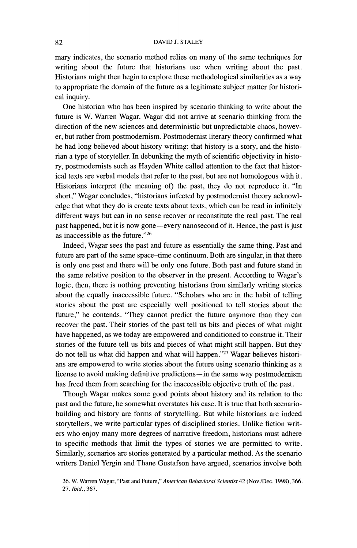**mary indicates, the scenario method relies on many of the same techniques for writing about the future that historians use when writing about the past. Historians might then begin to explore these methodological similarities as a way to appropriate the domain of the future as a legitimate subject matter for historical inquiry.** 

**One historian who has been inspired by scenario thinking to write about the future is W. Warren Wagar. Wagar did not arrive at scenario thinking from the direction of the new sciences and deterministic but unpredictable chaos, however, but rather from postmodernism. Postmoderist literary theory confirmed what he had long believed about history writing: that history is a story, and the historian a type of storyteller. In debunking the myth of scientific objectivity in history, postmoderists such as Hayden White called attention to the fact that historical texts are verbal models that refer to the past, but are not homologous with it. Historians interpret (the meaning of) the past, they do not reproduce it. "In short," Wagar concludes, "historians infected by postmodernist theory acknowledge that what they do is create texts about texts, which can be read in infinitely different ways but can in no sense recover or reconstitute the real past. The real past happened, but it is now gone-every nanosecond of it. Hence, the past is just as inaccessible as the future."26** 

**Indeed, Wagar sees the past and future as essentially the same thing. Past and future are part of the same space-time continuum. Both are singular, in that there is only one past and there will be only one future. Both past and future stand in the same relative position to the observer in the present. According to Wagar's logic, then, there is nothing preventing historians from similarly writing stories about the equally inaccessible future. "Scholars who are in the habit of telling stories about the past are especially well positioned to tell stories about the future," he contends. "They cannot predict the future anymore than they can recover the past. Their stories of the past tell us bits and pieces of what might have happened, as we today are empowered and conditioned to construe it. Their stories of the future tell us bits and pieces of what might still happen. But they do not tell us what did happen and what will happen."27 Wagar believes historians are empowered to write stories about the future using scenario thinking as a license to avoid making definitive predictions--in the same way postmodernism has freed them from searching for the inaccessible objective truth of the past.** 

**Though Wagar makes some good points about history and its relation to the past and the future, he somewhat overstates his case. It is true that both scenariobuilding and history are forms of storytelling. But while historians are indeed storytellers, we write particular types of disciplined stories. Unlike fiction writers who enjoy many more degrees of narrative freedom, historians must adhere to specific methods that limit the types of stories we are permitted to write. Similarly, scenarios are stories generated by a particular method. As the scenario writers Daniel Yergin and Thane Gustafson have argued, scenarios involve both** 

**<sup>26.</sup> W. Warren Wagar, "Past and Future," American Behavioral Scientist 42 (Nov./Dec. 1998), 366. 27. Ibid., 367.**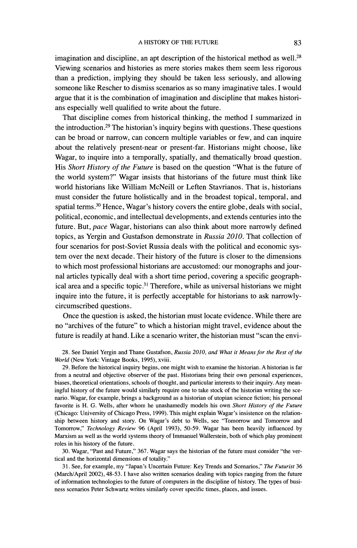**imagination and discipline, an apt description of the historical method as well.28 Viewing scenarios and histories as mere stories makes them seem less rigorous than a prediction, implying they should be taken less seriously, and allowing someone like Rescher to dismiss scenarios as so many imaginative tales. I would argue that it is the combination of imagination and discipline that makes historians especially well qualified to write about the future.** 

**That discipline comes from historical thinking, the method I summarized in the introduction.29 The historian's inquiry begins with questions. These questions can be broad or narrow, can concern multiple variables or few, and can inquire about the relatively present-near or present-far. Historians might choose, like Wagar, to inquire into a temporally, spatially, and thematically broad question. His Short History of the Future is based on the question "What is the future of the world system?" Wagar insists that historians of the future must think like world historians like William McNeill or Leften Stavrianos. That is, historians must consider the future holistically and in the broadest topical, temporal, and spatial terms.30 Hence, Wagar's history covers the entire globe, deals with social, political, economic, and intellectual developments, and extends centuries into the future. But, pace Wagar, historians can also think about more narrowly defined topics, as Yergin and Gustafson demonstrate in Russia 2010. That collection of four scenarios for post-Soviet Russia deals with the political and economic system over the next decade. Their history of the future is closer to the dimensions to which most professional historians are accustomed: our monographs and journal articles typically deal with a short time period, covering a specific geographical area and a specific topic.31 Therefore, while as universal historians we might inquire into the future, it is perfectly acceptable for historians to ask narrowlycircumscribed questions.** 

**Once the question is asked, the historian must locate evidence. While there are no "archives of the future" to which a historian might travel, evidence about the future is readily at hand. Like a scenario writer, the historian must "scan the envi-**

**28. See Daniel Yergin and Thane Gustafson, Russia 2010, and What it Means for the Rest of the World (New York: Vintage Books, 1995), xviii.** 

**29. Before the historical inquiry begins, one might wish to examine the historian. A historian is far from a neutral and objective observer of the past. Historians bring their own personal experiences, biases, theoretical orientations, schools of thought, and particular interests to their inquiry. Any meaningful history of the future would similarly require one to take stock of the historian writing the scenario. Wagar, for example, brings a background as a historian of utopian science fiction; his personal favorite is H. G. Wells, after whom he unashamedly models his own Short History of the Future (Chicago: University of Chicago Press, 1999). This might explain Wagar's insistence on the relationship between history and story. On Wagar's debt to Wells, see "Tomorrow and Tomorrow and Tomorrow," Technology Review 96 (April 1993), 50-59. Wagar has been heavily influenced by Marxism as well as the world systems theory of Immanuel Wallerstein, both of which play prominent roles in his history of the future.** 

**30. Wagar, "Past and Future," 367. Wagar says the historian of the future must consider "the vertical and the horizontal dimensions of totality."** 

**31. See, for example, my "Japan's Uncertain Future: Key Trends and Scenarios," The Futurist 36 (March/April 2002), 48-53. I have also written scenarios dealing with topics ranging from the future of information technologies to the future of computers in the discipline of history. The types of business scenarios Peter Schwartz writes similarly cover specific times, places, and issues.**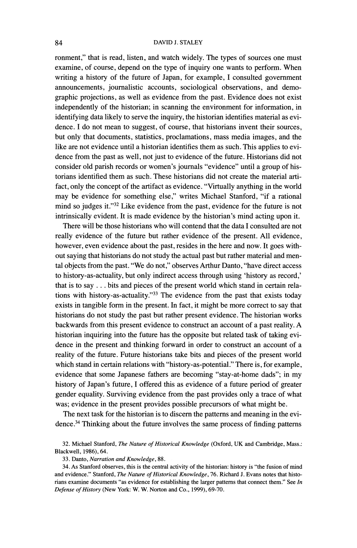**ronment," that is read, listen, and watch widely. The types of sources one must examine, of course, depend on the type of inquiry one wants to perform. When writing a history of the future of Japan, for example, I consulted government announcements, journalistic accounts, sociological observations, and demographic projections, as well as evidence from the past. Evidence does not exist independently of the historian; in scanning the environment for information, in identifying data likely to serve the inquiry, the historian identifies material as evidence. I do not mean to suggest, of course, that historians invent their sources, but only that documents, statistics, proclamations, mass media images, and the like are not evidence until a historian identifies them as such. This applies to evidence from the past as well, not just to evidence of the future. Historians did not consider old parish records or women's journals "evidence" until a group of historians identified them as such. These historians did not create the material artifact, only the concept of the artifact as evidence. "Virtually anything in the world may be evidence for something else," writes Michael Stanford, "if a rational mind so judges it."32 Like evidence from the past, evidence for the future is not intrinsically evident. It is made evidence by the historian's mind acting upon it.** 

**There will be those historians who will contend that the data I consulted are not really evidence of the future but rather evidence of the present. All evidence, however, even evidence about the past, resides in the here and now. It goes without saying that historians do not study the actual past but rather material and mental objects from the past. "We do not," observes Arthur Danto, "have direct access to history-as-actuality, but only indirect access through using 'history as record,' that is to say ... bits and pieces of the present world which stand in certain relations with history-as-actuality."33 The evidence from the past that exists today exists in tangible form in the present. In fact, it might be more correct to say that historians do not study the past but rather present evidence. The historian works backwards from this present evidence to construct an account of a past reality. A historian inquiring into the future has the opposite but related task of taking evidence in the present and thinking forward in order to construct an account of a reality of the future. Future historians take bits and pieces of the present world which stand in certain relations with "history-as-potential." There is, for example, evidence that some Japanese fathers are becoming "stay-at-home dads"; in my history of Japan's future, I offered this as evidence of a future period of greater gender equality. Surviving evidence from the past provides only a trace of what was; evidence in the present provides possible precursors of what might be.** 

**The next task for the historian is to discern the patterns and meaning in the evidence.34 Thinking about the future involves the same process of finding patterns** 

**32. Michael Stanford, The Nature of Historical Knowledge (Oxford, UK and Cambridge, Mass.: Blackwell, 1986), 64.** 

**33. Danto, Narration and Knowledge, 88.** 

**<sup>34.</sup> As Stanford observes, this is the central activity of the historian: history is "the fusion of mind**  and evidence." Stanford, The Nature of Historical Knowledge, 76. Richard J. Evans notes that histo**rians examine documents "as evidence for establishing the larger patterns that connect them." See In Defense of History (New York: W. W. Norton and Co., 1999), 69-70.**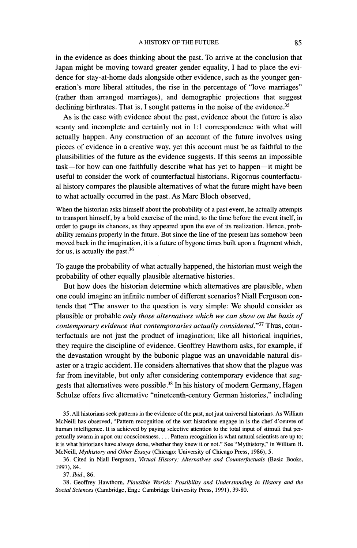**in the evidence as does thinking about the past. To arrive at the conclusion that Japan might be moving toward greater gender equality, I had to place the evidence for stay-at-home dads alongside other evidence, such as the younger generation's more liberal attitudes, the rise in the percentage of "love marriages" (rather than arranged marriages), and demographic projections that suggest declining birthrates. That is, I sought patterns in the noise of the evidence.35** 

**As is the case with evidence about the past, evidence about the future is also scanty and incomplete and certainly not in 1:1 correspondence with what will actually happen. Any construction of an account of the future involves using pieces of evidence in a creative way, yet this account must be as faithful to the plausibilities of the future as the evidence suggests. If this seems an impossible task-for how can one faithfully describe what has yet to happen-it might be useful to consider the work of counterfactual historians. Rigorous counterfactual history compares the plausible alternatives of what the future might have been to what actually occurred in the past. As Marc Bloch observed,** 

**When the historian asks himself about the probability of a past event, he actually attempts to transport himself, by a bold exercise of the mind, to the time before the event itself, in order to gauge its chances, as they appeared upon the eve of its realization. Hence, probability remains properly in the future. But since the line of the present has somehow been moved back in the imagination, it is a future of bygone times built upon a fragment which, for us, is actually the past.36** 

**To gauge the probability of what actually happened, the historian must weigh the probability of other equally plausible alternative histories.** 

**But how does the historian determine which alternatives are plausible, when one could imagine an infinite number of different scenarios? Niall Ferguson contends that "The answer to the question is very simple: We should consider as plausible or probable only those alternatives which we can show on the basis of contemporary evidence that contemporaries actually considered."37 Thus, counterfactuals are not just the product of imagination; like all historical inquiries, they require the discipline of evidence. Geoffrey Hawthorn asks, for example, if the devastation wrought by the bubonic plague was an unavoidable natural disaster or a tragic accident. He considers alternatives that show that the plague was far from inevitable, but only after considering contemporary evidence that sug**gests that alternatives were possible.<sup>38</sup> In his history of modern Germany, Hagen **Schulze offers five alternative "nineteenth-century German histories," including** 

**35. All historians seek patterns in the evidence of the past, not just universal historians. As William McNeill has observed, "Pattern recognition of the sort historians engage in is the chef d'oeuvre of human intelligence. It is achieved by paying selective attention to the total input of stimuli that perpetually swarm in upon our consciousness.... Pattern recognition is what natural scientists are up to; it is what historians have always done, whether they knew it or not." See "Mythistory," in William H. McNeill, Mythistory and Other Essays (Chicago: University of Chicago Press, 1986), 5.** 

**36. Cited in Niall Ferguson, Virtual History: Alternatives and Counterfactuals (Basic Books, 1997), 84.** 

**37. Ibid., 86.** 

**38. Geoffrey Hawthorn, Plausible Worlds: Possibility and Understanding in History and the Social Sciences (Cambridge, Eng.: Cambridge University Press, 1991), 39-80.**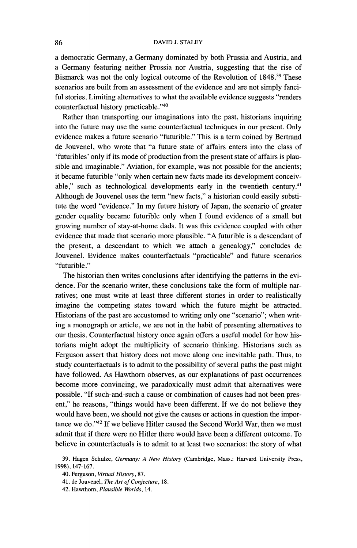**a democratic Germany, a Germany dominated by both Prussia and Austria, and a Germany featuring neither Prussia nor Austria, suggesting that the rise of Bismarck was not the only logical outcome of the Revolution of 1848.39 These scenarios are built from an assessment of the evidence and are not simply fanciful stories. Limiting alternatives to what the available evidence suggests "renders counterfactual history practicable."40** 

**Rather than transporting our imaginations into the past, historians inquiring into the future may use the same counterfactual techniques in our present. Only evidence makes a future scenario "futurible." This is a term coined by Bertrand de Jouvenel, who wrote that "a future state of affairs enters into the class of 'futuribles' only if its mode of production from the present state of affairs is plausible and imaginable." Aviation, for example, was not possible for the ancients; it became futurible "only when certain new facts made its development conceivable," such as technological developments early in the twentieth century.41 Although de Jouvenel uses the term "new facts," a historian could easily substitute the word "evidence." In my future history of Japan, the scenario of greater gender equality became futurible only when I found evidence of a small but growing number of stay-at-home dads. It was this evidence coupled with other evidence that made that scenario more plausible. "A futurible is a descendant of the present, a descendant to which we attach a genealogy," concludes de Jouvenel. Evidence makes counterfactuals "practicable" and future scenarios "futurible."** 

**The historian then writes conclusions after identifying the patterns in the evidence. For the scenario writer, these conclusions take the form of multiple narratives; one must write at least three different stories in order to realistically imagine the competing states toward which the future might be attracted. Historians of the past are accustomed to writing only one "scenario"; when writing a monograph or article, we are not in the habit of presenting alternatives to our thesis. Counterfactual history once again offers a useful model for how historians might adopt the multiplicity of scenario thinking. Historians such as Ferguson assert that history does not move along one inevitable path. Thus, to study counterfactuals is to admit to the possibility of several paths the past might have followed. As Hawthorn observes, as our explanations of past occurrences become more convincing, we paradoxically must admit that alternatives were possible. "If such-and-such a cause or combination of causes had not been present," he reasons, "things would have been different. If we do not believe they would have been, we should not give the causes or actions in question the importance we do."42 If we believe Hitler caused the Second World War, then we must admit that if there were no Hitler there would have been a different outcome. To believe in counterfactuals is to admit to at least two scenarios: the story of what** 

**<sup>39.</sup> Hagen Schulze, Germany: A New History (Cambridge, Mass.: Harvard University Press, 1998), 147-167.** 

**<sup>40.</sup> Ferguson, Virtual History, 87.** 

**<sup>41.</sup> de Jouvenel, The Art of Conjecture, 18.** 

**<sup>42.</sup> Hawthorn, Plausible Worlds, 14.**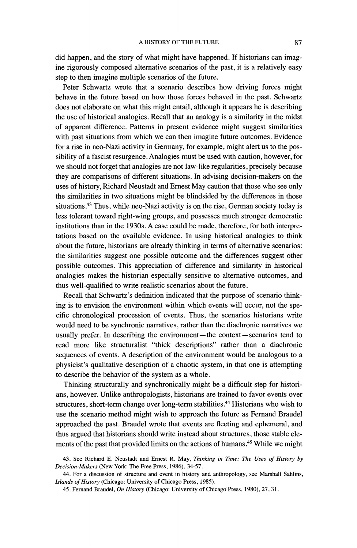**did happen, and the story of what might have happened. If historians can imagine rigorously composed alternative scenarios of the past, it is a relatively easy step to then imagine multiple scenarios of the future.** 

**Peter Schwartz wrote that a scenario describes how driving forces might behave in the future based on how those forces behaved in the past. Schwartz does not elaborate on what this might entail, although it appears he is describing the use of historical analogies. Recall that an analogy is a similarity in the midst of apparent difference. Patterns in present evidence might suggest similarities with past situations from which we can then imagine future outcomes. Evidence for a rise in neo-Nazi activity in Germany, for example, might alert us to the possibility of a fascist resurgence. Analogies must be used with caution, however, for we should not forget that analogies are not law-like regularities, precisely because they are comparisons of different situations. In advising decision-makers on the uses of history, Richard Neustadt and Ernest May caution that those who see only the similarities in two situations might be blindsided by the differences in those situations.43 Thus, while neo-Nazi activity is on the rise, German society today is less tolerant toward right-wing groups, and possesses much stronger democratic institutions than in the 1930s. A case could be made, therefore, for both interpretations based on the available evidence. In using historical analogies to think about the future, historians are already thinking in terms of alternative scenarios: the similarities suggest one possible outcome and the differences suggest other possible outcomes. This appreciation of difference and similarity in historical analogies makes the historian especially sensitive to alternative outcomes, and thus well-qualified to write realistic scenarios about the future.** 

**Recall that Schwartz's definition indicated that the purpose of scenario thinking is to envision the environment within which events will occur, not the specific chronological procession of events. Thus, the scenarios historians write would need to be synchronic narratives, rather than the diachronic narratives we**  usually prefer. In describing the environment—the context—scenarios tend to **read more like structuralist "thick descriptions" rather than a diachronic sequences of events. A description of the environment would be analogous to a physicist's qualitative description of a chaotic system, in that one is attempting to describe the behavior of the system as a whole.** 

**Thinking structurally and synchronically might be a difficult step for historians, however. Unlike anthropologists, historians are trained to favor events over structures, short-term change over long-term stabilities.44 Historians who wish to use the scenario method might wish to approach the future as Fernand Braudel approached the past. Braudel wrote that events are fleeting and ephemeral, and thus argued that historians should write instead about structures, those stable elements of the past that provided limits on the actions of humans.45 While we might** 

**<sup>43.</sup> See Richard E. Neustadt and Ernest R. May, Thinking in Time: The Uses of History by Decision-Makers (New York: The Free Press, 1986), 34-57.** 

**<sup>44.</sup> For a discussion of structure and event in history and anthropology, see Marshall Sahlins, Islands of History (Chicago: University of Chicago Press, 1985).** 

**<sup>45.</sup> Fernand Braudel, On History (Chicago: University of Chicago Press, 1980), 27, 31.**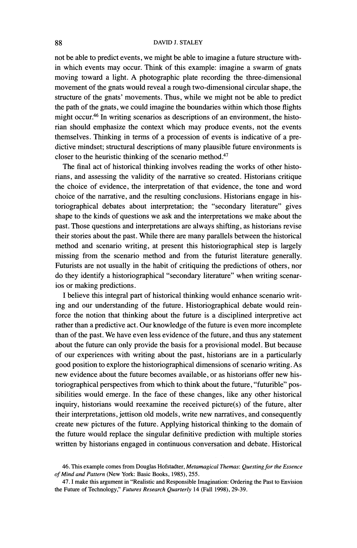**not be able to predict events, we might be able to imagine a future structure within which events may occur. Think of this example: imagine a swarm of gnats moving toward a light. A photographic plate recording the three-dimensional movement of the gnats would reveal a rough two-dimensional circular shape, the structure of the gnats' movements. Thus, while we might not be able to predict the path of the gnats, we could imagine the boundaries within which those flights might occur.46 In writing scenarios as descriptions of an environment, the historian should emphasize the context which may produce events, not the events themselves. Thinking in terms of a procession of events is indicative of a predictive mindset; structural descriptions of many plausible future environments is closer to the heuristic thinking of the scenario method.47** 

**The final act of historical thinking involves reading the works of other historians, and assessing the validity of the narrative so created. Historians critique the choice of evidence, the interpretation of that evidence, the tone and word choice of the narrative, and the resulting conclusions. Historians engage in historiographical debates about interpretation; the "secondary literature" gives shape to the kinds of questions we ask and the interpretations we make about the past. Those questions and interpretations are always shifting, as historians revise their stories about the past. While there are many parallels between the historical method and scenario writing, at present this historiographical step is largely missing from the scenario method and from the futurist literature generally. Futurists are not usually in the habit of critiquing the predictions of others, nor do they identify a historiographical "secondary literature" when writing scenarios or making predictions.** 

**I believe this integral part of historical thinking would enhance scenario writing and our understanding of the future. Historiographical debate would reinforce the notion that thinking about the future is a disciplined interpretive act rather than a predictive act. Our knowledge of the future is even more incomplete than of the past. We have even less evidence of the future, and thus any statement about the future can only provide the basis for a provisional model. But because of our experiences with writing about the past, historians are in a particularly good position to explore the historiographical dimensions of scenario writing. As new evidence about the future becomes available, or as historians offer new historiographical perspectives from which to think about the future, "futurible" possibilities would emerge. In the face of these changes, like any other historical inquiry, historians would reexamine the received picture(s) of the future, alter their interpretations, jettison old models, write new narratives, and consequently create new pictures of the future. Applying historical thinking to the domain of the future would replace the singular definitive prediction with multiple stories written by historians engaged in continuous conversation and debate. Historical** 

**<sup>46.</sup> This example comes from Douglas Hofstadter, Metamagical Themas: Questingfor the Essence of Mind and Pattern (New York: Basic Books, 1985), 255.** 

**<sup>47.</sup> I make this argument in "Realistic and Responsible Imagination: Ordering the Past to Envision the Future of Technology," Futures Research Quarterly 14 (Fall 1998), 29-39.**